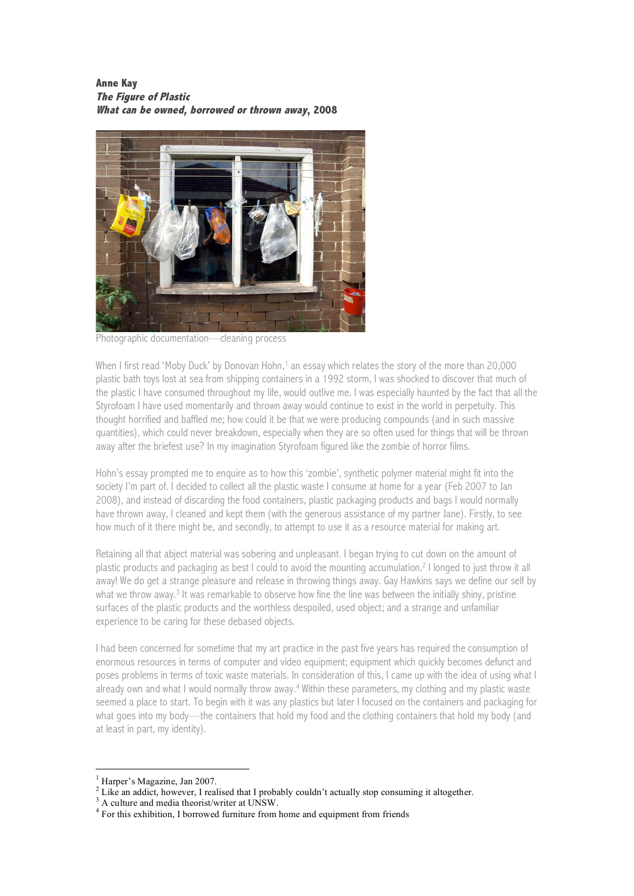**Anne Kay The Figure of Plastic What can be owned, borrowed or thrown away, 2008**



Photographic documentation—cleaning process

When I first read 'Moby Duck' by Donovan Hohn,<sup>1</sup> an essay which relates the story of the more than 20,000 plastic bath toys lost at sea from shipping containers in a 1992 storm, I was shocked to discover that much of the plastic I have consumed throughout my life, would outlive me. I was especially haunted by the fact that all the Styrofoam I have used momentarily and thrown away would continue to exist in the world in perpetuity. This thought horrified and baffled me; how could it be that we were producing compounds (and in such massive quantities), which could never breakdown, especially when they are so often used for things that will be thrown away after the briefest use? In my imagination Styrofoam figured like the zombie of horror films.

Hohn's essay prompted me to enquire as to how this 'zombie', synthetic polymer material might fit into the society I'm part of. I decided to collect all the plastic waste I consume at home for a year (Feb 2007 to Jan 2008), and instead of discarding the food containers, plastic packaging products and bags I would normally have thrown away, I cleaned and kept them (with the generous assistance of my partner Jane). Firstly, to see how much of it there might be, and secondly, to attempt to use it as a resource material for making art.

Retaining all that abject material was sobering and unpleasant. I began trying to cut down on the amount of plastic products and packaging as best I could to avoid the mounting accumulation. <sup>2</sup> I longed to just throw it all away! We do get a strange pleasure and release in throwing things away. Gay Hawkins says we define our self by what we throw away. <sup>3</sup> It was remarkable to observe how fine the line was between the initially shiny, pristine surfaces of the plastic products and the worthless despoiled, used object; and a strange and unfamiliar experience to be caring for these debased objects.

I had been concerned for sometime that my art practice in the past five years has required the consumption of enormous resources in terms of computer and video equipment; equipment which quickly becomes defunct and poses problems in terms of toxic waste materials. In consideration of this, I came up with the idea of using what I already own and what I would normally throw away.<sup>4</sup> Within these parameters, my clothing and my plastic waste seemed a place to start. To begin with it was any plastics but later I focused on the containers and packaging for what goes into my body—the containers that hold my food and the clothing containers that hold my body (and at least in part, my identity).

<sup>&</sup>lt;sup>1</sup> Harper's Magazine, Jan 2007.<br>
<sup>2</sup> Like an addict, however, I realised that I probably couldn't actually stop consuming it altogether.<br>
<sup>3</sup> A culture and media theorist/writer at UNSW.<br>
<sup>4</sup> For this exhibition, I borro